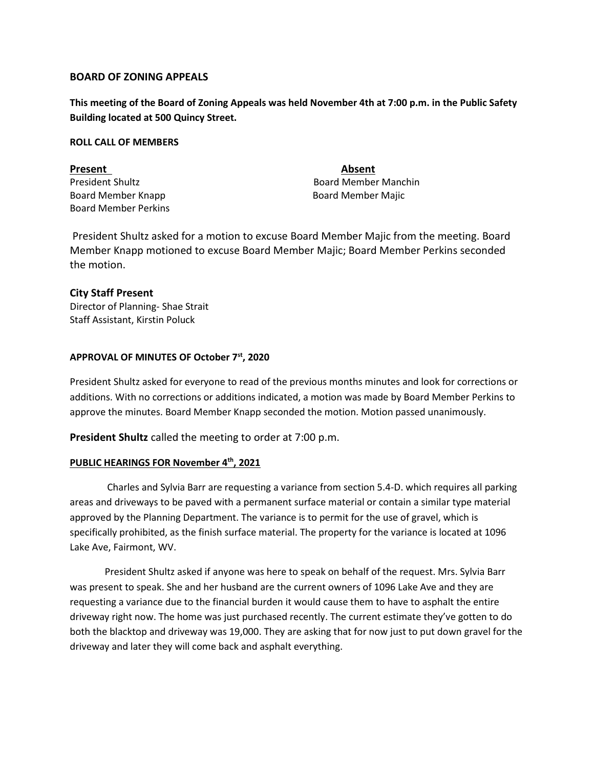### **BOARD OF ZONING APPEALS**

**This meeting of the Board of Zoning Appeals was held November 4th at 7:00 p.m. in the Public Safety Building located at 500 Quincy Street.** 

### **ROLL CALL OF MEMBERS**

Present **Absent** Board Member Knapp Board Member Majic Board Member Perkins

President Shultz **Board Member Manchin** Board Member Manchin

President Shultz asked for a motion to excuse Board Member Majic from the meeting. Board Member Knapp motioned to excuse Board Member Majic; Board Member Perkins seconded the motion.

# **City Staff Present**

Director of Planning- Shae Strait Staff Assistant, Kirstin Poluck

# **APPROVAL OF MINUTES OF October 7st, 2020**

President Shultz asked for everyone to read of the previous months minutes and look for corrections or additions. With no corrections or additions indicated, a motion was made by Board Member Perkins to approve the minutes. Board Member Knapp seconded the motion. Motion passed unanimously.

**President Shultz** called the meeting to order at 7:00 p.m.

#### **PUBLIC HEARINGS FOR November 4th, 2021**

Charles and Sylvia Barr are requesting a variance from section 5.4-D. which requires all parking areas and driveways to be paved with a permanent surface material or contain a similar type material approved by the Planning Department. The variance is to permit for the use of gravel, which is specifically prohibited, as the finish surface material. The property for the variance is located at 1096 Lake Ave, Fairmont, WV.

President Shultz asked if anyone was here to speak on behalf of the request. Mrs. Sylvia Barr was present to speak. She and her husband are the current owners of 1096 Lake Ave and they are requesting a variance due to the financial burden it would cause them to have to asphalt the entire driveway right now. The home was just purchased recently. The current estimate they've gotten to do both the blacktop and driveway was 19,000. They are asking that for now just to put down gravel for the driveway and later they will come back and asphalt everything.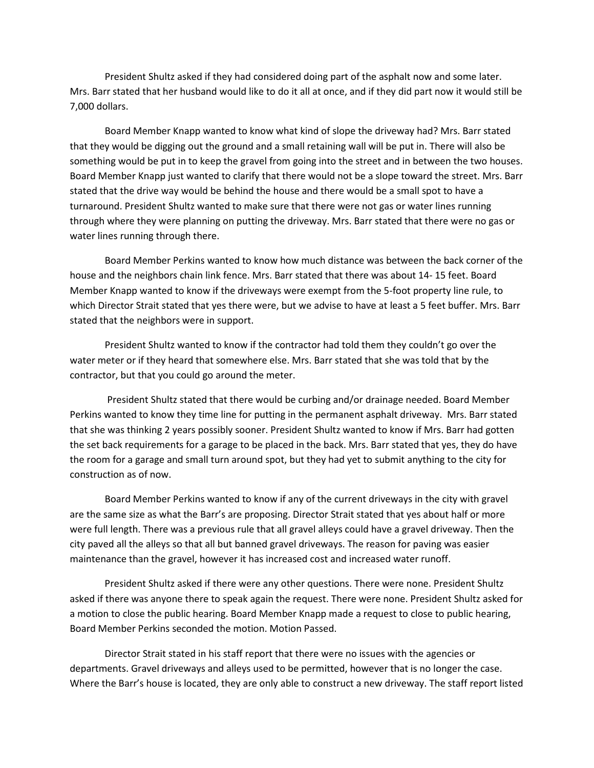President Shultz asked if they had considered doing part of the asphalt now and some later. Mrs. Barr stated that her husband would like to do it all at once, and if they did part now it would still be 7,000 dollars.

Board Member Knapp wanted to know what kind of slope the driveway had? Mrs. Barr stated that they would be digging out the ground and a small retaining wall will be put in. There will also be something would be put in to keep the gravel from going into the street and in between the two houses. Board Member Knapp just wanted to clarify that there would not be a slope toward the street. Mrs. Barr stated that the drive way would be behind the house and there would be a small spot to have a turnaround. President Shultz wanted to make sure that there were not gas or water lines running through where they were planning on putting the driveway. Mrs. Barr stated that there were no gas or water lines running through there.

Board Member Perkins wanted to know how much distance was between the back corner of the house and the neighbors chain link fence. Mrs. Barr stated that there was about 14- 15 feet. Board Member Knapp wanted to know if the driveways were exempt from the 5-foot property line rule, to which Director Strait stated that yes there were, but we advise to have at least a 5 feet buffer. Mrs. Barr stated that the neighbors were in support.

President Shultz wanted to know if the contractor had told them they couldn't go over the water meter or if they heard that somewhere else. Mrs. Barr stated that she was told that by the contractor, but that you could go around the meter.

President Shultz stated that there would be curbing and/or drainage needed. Board Member Perkins wanted to know they time line for putting in the permanent asphalt driveway. Mrs. Barr stated that she was thinking 2 years possibly sooner. President Shultz wanted to know if Mrs. Barr had gotten the set back requirements for a garage to be placed in the back. Mrs. Barr stated that yes, they do have the room for a garage and small turn around spot, but they had yet to submit anything to the city for construction as of now.

Board Member Perkins wanted to know if any of the current driveways in the city with gravel are the same size as what the Barr's are proposing. Director Strait stated that yes about half or more were full length. There was a previous rule that all gravel alleys could have a gravel driveway. Then the city paved all the alleys so that all but banned gravel driveways. The reason for paving was easier maintenance than the gravel, however it has increased cost and increased water runoff.

President Shultz asked if there were any other questions. There were none. President Shultz asked if there was anyone there to speak again the request. There were none. President Shultz asked for a motion to close the public hearing. Board Member Knapp made a request to close to public hearing, Board Member Perkins seconded the motion. Motion Passed.

Director Strait stated in his staff report that there were no issues with the agencies or departments. Gravel driveways and alleys used to be permitted, however that is no longer the case. Where the Barr's house is located, they are only able to construct a new driveway. The staff report listed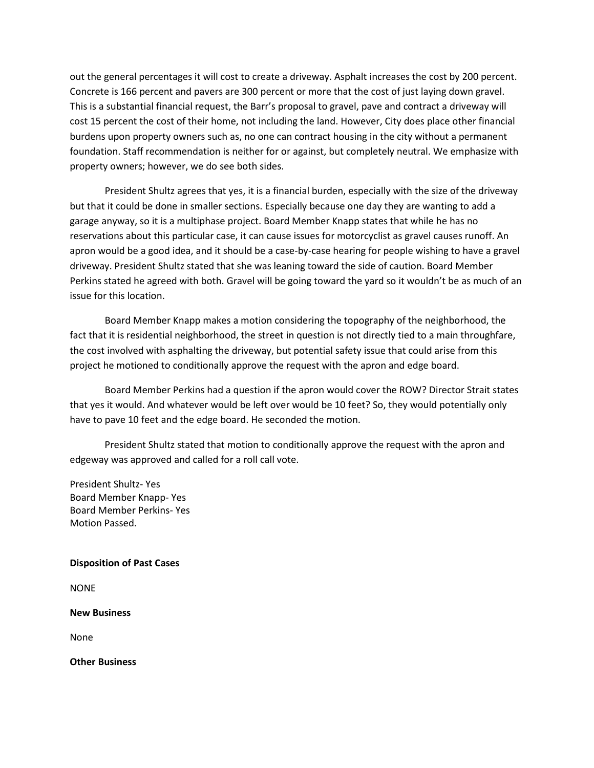out the general percentages it will cost to create a driveway. Asphalt increases the cost by 200 percent. Concrete is 166 percent and pavers are 300 percent or more that the cost of just laying down gravel. This is a substantial financial request, the Barr's proposal to gravel, pave and contract a driveway will cost 15 percent the cost of their home, not including the land. However, City does place other financial burdens upon property owners such as, no one can contract housing in the city without a permanent foundation. Staff recommendation is neither for or against, but completely neutral. We emphasize with property owners; however, we do see both sides.

President Shultz agrees that yes, it is a financial burden, especially with the size of the driveway but that it could be done in smaller sections. Especially because one day they are wanting to add a garage anyway, so it is a multiphase project. Board Member Knapp states that while he has no reservations about this particular case, it can cause issues for motorcyclist as gravel causes runoff. An apron would be a good idea, and it should be a case-by-case hearing for people wishing to have a gravel driveway. President Shultz stated that she was leaning toward the side of caution. Board Member Perkins stated he agreed with both. Gravel will be going toward the yard so it wouldn't be as much of an issue for this location.

Board Member Knapp makes a motion considering the topography of the neighborhood, the fact that it is residential neighborhood, the street in question is not directly tied to a main throughfare, the cost involved with asphalting the driveway, but potential safety issue that could arise from this project he motioned to conditionally approve the request with the apron and edge board.

Board Member Perkins had a question if the apron would cover the ROW? Director Strait states that yes it would. And whatever would be left over would be 10 feet? So, they would potentially only have to pave 10 feet and the edge board. He seconded the motion.

President Shultz stated that motion to conditionally approve the request with the apron and edgeway was approved and called for a roll call vote.

President Shultz- Yes Board Member Knapp- Yes Board Member Perkins- Yes Motion Passed.

#### **Disposition of Past Cases**

NONE

**New Business**

None

**Other Business**